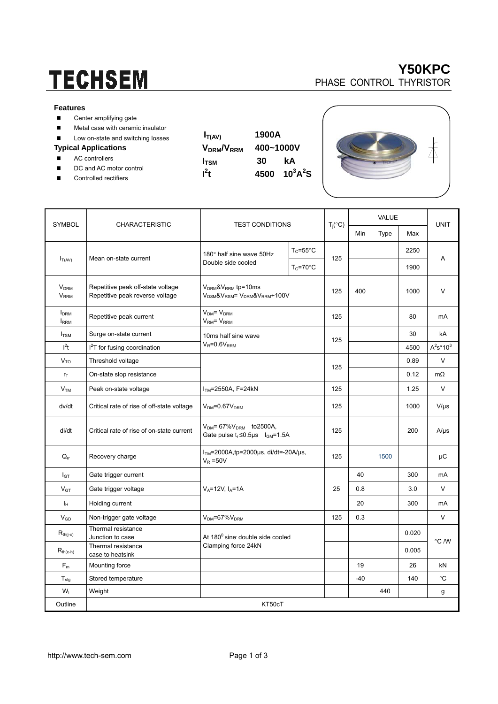# **TECHSEM**

#### **Features**

- Center amplifying gate
- **Metal case with ceramic insulator**
- Low on-state and switching losses

### **Typical Applications**

- AC controllers
- DC and AC motor control
- Controlled rectifiers

| $I_{T(AV)}$                        | 1900A     |          |  |  |  |
|------------------------------------|-----------|----------|--|--|--|
| V <sub>DRM</sub> /V <sub>RRM</sub> | 400~1000V |          |  |  |  |
| $I_{\text{TSM}}$                   | 30        | kA       |  |  |  |
| $l^2t$                             | 4500      | $10^3$ A |  |  |  |
|                                    |           |          |  |  |  |

| <b>RM</b> | 1900A     |                 |
|-----------|-----------|-----------------|
|           | 400~1000V |                 |
|           | 30        | kΑ              |
|           | 4500      | $10^3$ A $^2$ S |





|                                                   | <b>CHARACTERISTIC</b>                                                | <b>TEST CONDITIONS</b>                                                                    |                     | $T_i({}^{\circ}C)$ | VALUE |      |       |                |
|---------------------------------------------------|----------------------------------------------------------------------|-------------------------------------------------------------------------------------------|---------------------|--------------------|-------|------|-------|----------------|
| <b>SYMBOL</b>                                     |                                                                      |                                                                                           |                     |                    | Min   | Type | Max   | <b>UNIT</b>    |
| $I_{T(AV)}$                                       | Mean on-state current                                                | 180° half sine wave 50Hz<br>Double side cooled                                            | $T_c = 55^{\circ}C$ | 125                |       |      | 2250  | A              |
|                                                   |                                                                      |                                                                                           | $T_c = 70$ °C       |                    |       |      | 1900  |                |
| <b>V<sub>DRM</sub></b><br><b>V</b> <sub>RRM</sub> | Repetitive peak off-state voltage<br>Repetitive peak reverse voltage | $V_{DRM}$ & $V_{RRM}$ tp=10ms<br>$V_{DSM}$ & $V_{RSM}$ = $V_{DRM}$ & $V_{RRM}$ +100 $V$   |                     | 125                | 400   |      | 1000  | $\vee$         |
| <b>I</b> <sub>DRM</sub><br><b>IRRM</b>            | Repetitive peak current                                              | $V_{DM} = V_{DRM}$<br>V <sub>RM</sub> = V <sub>RRM</sub>                                  |                     | 125                |       |      | 80    | mA             |
| $I_{TSM}$                                         | Surge on-state current                                               | 10ms half sine wave<br>$V_R = 0.6V_{RRM}$                                                 |                     | 125                |       |      | 30    | kA             |
| $l^2t$                                            | $I2T$ for fusing coordination                                        |                                                                                           |                     |                    |       |      | 4500  | $A^2s^*10^3$   |
| V <sub>TO</sub>                                   | Threshold voltage                                                    |                                                                                           |                     | 125                |       |      | 0.89  | $\vee$         |
| $r_{\text{T}}$                                    | On-state slop resistance                                             |                                                                                           |                     |                    |       |      | 0.12  | $m\Omega$      |
| $\mathsf{V}_{\mathsf{TM}}$                        | Peak on-state voltage                                                | $ITM=2550A, F=24kN$                                                                       |                     | 125                |       |      | 1.25  | $\vee$         |
| dv/dt                                             | Critical rate of rise of off-state voltage                           | $V_{DM} = 0.67 V_{DRM}$                                                                   |                     | 125                |       |      | 1000  | $V/\mu s$      |
| di/dt                                             | Critical rate of rise of on-state current                            | $V_{DM}$ = 67% $V_{DRM}$ to 2500A,<br>Gate pulse $t_r \le 0.5$ us $I_{\text{GM}} = 1.5$ A |                     | 125                |       |      | 200   | $A/\mu s$      |
| $Q_{rr}$                                          | Recovery charge                                                      | $ITM=2000A$ , tp=2000 $\mu$ s, di/dt=-20A/ $\mu$ s,<br>$V_R = 50V$                        |                     | 125                |       | 1500 |       | μC             |
| $I_{GT}$                                          | Gate trigger current                                                 | $V_A = 12V$ , $I_A = 1A$                                                                  |                     |                    | 40    |      | 300   | mA             |
| $V_{GT}$                                          | Gate trigger voltage                                                 |                                                                                           |                     | 25                 | 0.8   |      | 3.0   | V              |
| Iн                                                | Holding current                                                      |                                                                                           |                     |                    | 20    |      | 300   | mA             |
| $V_{GD}$                                          | Non-trigger gate voltage                                             | $V_{DM} = 67\%V_{DRM}$                                                                    |                     | 125                | 0.3   |      |       | $\vee$         |
| $R_{\text{th}(j-c)}$                              | Thermal resistance<br>Junction to case                               | At 180° sine double side cooled<br>Clamping force 24kN                                    |                     |                    |       |      | 0.020 |                |
| $R_{th(c-h)}$                                     | Thermal resistance<br>case to heatsink                               |                                                                                           |                     |                    |       |      | 0.005 | $\degree$ C /W |
| $\mathsf{F}_{\mathsf{m}}$                         | Mounting force                                                       |                                                                                           |                     |                    | 19    |      | 26    | kN             |
| $T_{\text{stg}}$                                  | Stored temperature                                                   |                                                                                           |                     |                    | $-40$ |      | 140   | °C             |
| $W_t$                                             | Weight                                                               |                                                                                           |                     |                    |       | 440  |       | g              |
| Outline                                           | KT50cT                                                               |                                                                                           |                     |                    |       |      |       |                |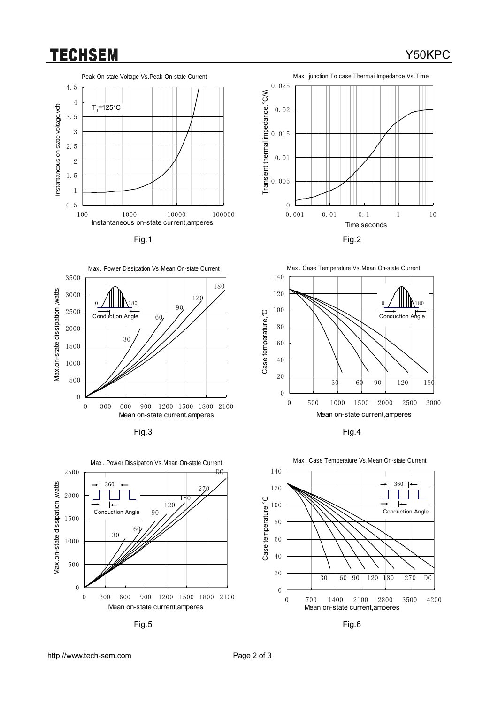### **TECHSEM**

Y50KPC







Fig.3 Fig.4



Fig.5 Fig.6